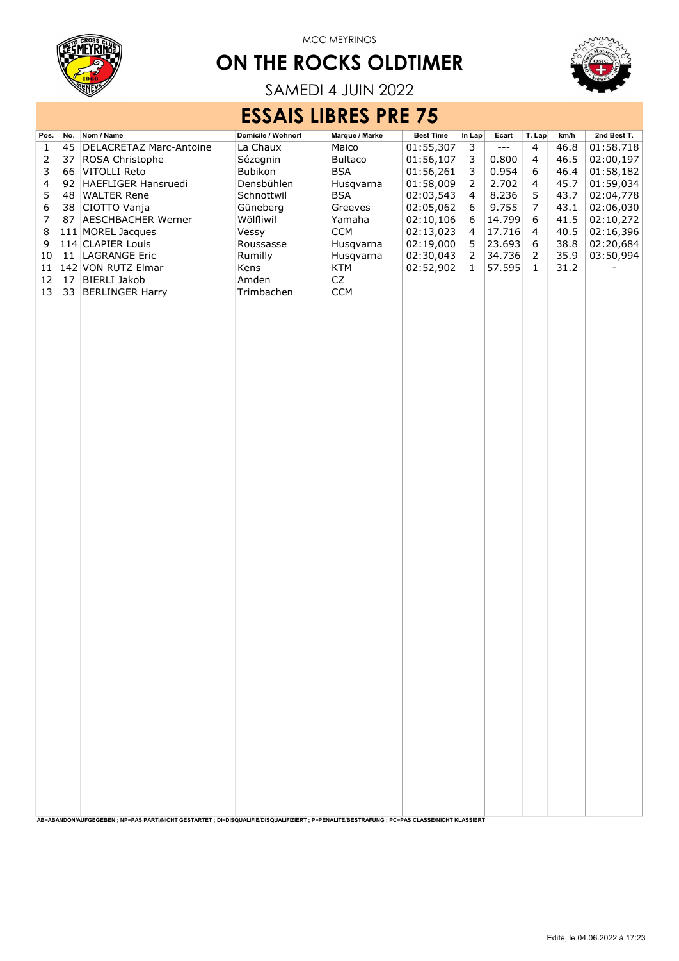

# ON THE ROCKS OLDTIMER



SAMEDI 4 JUIN 2022

## ESSAIS LIBRES PRE 75

| Pos.           | No. | Nom / Name                                                                                                                                | Domicile / Wohnort | Marque / Marke         | <b>Best Time</b>       | In Lap                  | Ecart                | T. Lap         | km/h         | 2nd Best T.            |
|----------------|-----|-------------------------------------------------------------------------------------------------------------------------------------------|--------------------|------------------------|------------------------|-------------------------|----------------------|----------------|--------------|------------------------|
| $\mathbf 1$    | 45  | DELACRETAZ Marc-Antoine                                                                                                                   | La Chaux           | Maico                  | 01:55,307              | 3                       | $\sim$ $\sim$ $\sim$ | $\overline{4}$ | 46.8         | 01:58.718              |
| $\overline{c}$ | 37  | ROSA Christophe                                                                                                                           | Sézegnin           | <b>Bultaco</b>         | 01:56,107              | 3                       | 0.800                | $\overline{4}$ | 46.5         | 02:00,197              |
| 3              | 66  | VITOLLI Reto                                                                                                                              | Bubikon            | <b>BSA</b>             | 01:56,261              | 3                       | 0.954                | 6              | 46.4         | 01:58,182              |
| 4              | 92  | HAEFLIGER Hansruedi                                                                                                                       | Densbühlen         | Husqvarna              | 01:58,009              | $\overline{2}$          | 2.702                | $\overline{4}$ | 45.7         | 01:59,034              |
| 5              | 48  | <b>WALTER Rene</b>                                                                                                                        | Schnottwil         | <b>BSA</b>             | 02:03,543              | $\overline{\mathbf{4}}$ | 8.236                | 5              | 43.7         | 02:04,778              |
| 6              | 38  | CIOTTO Vanja                                                                                                                              | Güneberg           | Greeves                | 02:05,062              | 6                       | 9.755                | 7              | 43.1         | 02:06,030              |
| $\overline{7}$ | 87  | <b>AESCHBACHER Werner</b>                                                                                                                 | Wölfliwil          | Yamaha                 | 02:10,106              | 6                       | 14.799               | 6              | 41.5         | 02:10,272              |
| 8<br>9         |     | 111 MOREL Jacques<br>114 CLAPIER Louis                                                                                                    | Vessy<br>Roussasse | <b>CCM</b>             | 02:13,023              | 4<br>5                  | 17.716               | 4<br>6         | 40.5<br>38.8 | 02:16,396              |
| 10             | 11  | LAGRANGE Eric                                                                                                                             | Rumilly            | Husqvarna<br>Husqvarna | 02:19,000<br>02:30,043 | $\overline{2}$          | 23.693<br>34.736     | $\overline{2}$ | 35.9         | 02:20,684<br>03:50,994 |
| 11             |     | 142 VON RUTZ Elmar                                                                                                                        | Kens               | KTM                    | 02:52,902              | $\mathbf 1$             | 57.595               | $\mathbf{1}$   | 31.2         |                        |
| 12             | 17  | <b>BIERLI Jakob</b>                                                                                                                       | Amden              | CZ                     |                        |                         |                      |                |              |                        |
| 13             | 33  | <b>BERLINGER Harry</b>                                                                                                                    | Trimbachen         | <b>CCM</b>             |                        |                         |                      |                |              |                        |
|                |     |                                                                                                                                           |                    |                        |                        |                         |                      |                |              |                        |
|                |     |                                                                                                                                           |                    |                        |                        |                         |                      |                |              |                        |
|                |     |                                                                                                                                           |                    |                        |                        |                         |                      |                |              |                        |
|                |     |                                                                                                                                           |                    |                        |                        |                         |                      |                |              |                        |
|                |     |                                                                                                                                           |                    |                        |                        |                         |                      |                |              |                        |
|                |     |                                                                                                                                           |                    |                        |                        |                         |                      |                |              |                        |
|                |     |                                                                                                                                           |                    |                        |                        |                         |                      |                |              |                        |
|                |     |                                                                                                                                           |                    |                        |                        |                         |                      |                |              |                        |
|                |     |                                                                                                                                           |                    |                        |                        |                         |                      |                |              |                        |
|                |     |                                                                                                                                           |                    |                        |                        |                         |                      |                |              |                        |
|                |     |                                                                                                                                           |                    |                        |                        |                         |                      |                |              |                        |
|                |     |                                                                                                                                           |                    |                        |                        |                         |                      |                |              |                        |
|                |     |                                                                                                                                           |                    |                        |                        |                         |                      |                |              |                        |
|                |     |                                                                                                                                           |                    |                        |                        |                         |                      |                |              |                        |
|                |     |                                                                                                                                           |                    |                        |                        |                         |                      |                |              |                        |
|                |     |                                                                                                                                           |                    |                        |                        |                         |                      |                |              |                        |
|                |     |                                                                                                                                           |                    |                        |                        |                         |                      |                |              |                        |
|                |     |                                                                                                                                           |                    |                        |                        |                         |                      |                |              |                        |
|                |     |                                                                                                                                           |                    |                        |                        |                         |                      |                |              |                        |
|                |     |                                                                                                                                           |                    |                        |                        |                         |                      |                |              |                        |
|                |     |                                                                                                                                           |                    |                        |                        |                         |                      |                |              |                        |
|                |     |                                                                                                                                           |                    |                        |                        |                         |                      |                |              |                        |
|                |     |                                                                                                                                           |                    |                        |                        |                         |                      |                |              |                        |
|                |     |                                                                                                                                           |                    |                        |                        |                         |                      |                |              |                        |
|                |     |                                                                                                                                           |                    |                        |                        |                         |                      |                |              |                        |
|                |     |                                                                                                                                           |                    |                        |                        |                         |                      |                |              |                        |
|                |     |                                                                                                                                           |                    |                        |                        |                         |                      |                |              |                        |
|                |     |                                                                                                                                           |                    |                        |                        |                         |                      |                |              |                        |
|                |     |                                                                                                                                           |                    |                        |                        |                         |                      |                |              |                        |
|                |     |                                                                                                                                           |                    |                        |                        |                         |                      |                |              |                        |
|                |     |                                                                                                                                           |                    |                        |                        |                         |                      |                |              |                        |
|                |     |                                                                                                                                           |                    |                        |                        |                         |                      |                |              |                        |
|                |     |                                                                                                                                           |                    |                        |                        |                         |                      |                |              |                        |
|                |     |                                                                                                                                           |                    |                        |                        |                         |                      |                |              |                        |
|                |     |                                                                                                                                           |                    |                        |                        |                         |                      |                |              |                        |
|                |     |                                                                                                                                           |                    |                        |                        |                         |                      |                |              |                        |
|                |     |                                                                                                                                           |                    |                        |                        |                         |                      |                |              |                        |
|                |     |                                                                                                                                           |                    |                        |                        |                         |                      |                |              |                        |
|                |     |                                                                                                                                           |                    |                        |                        |                         |                      |                |              |                        |
|                |     | AB=ABANDON/AUFGEGEBEN; NP=PAS PARTI/NICHT GESTARTET; DI=DISQUALIFIE/DISQUALIFIZIERT; P=PENALITE/BESTRAFUNG; PC=PAS CLASSE/NICHT KLASSIERT |                    |                        |                        |                         |                      |                |              |                        |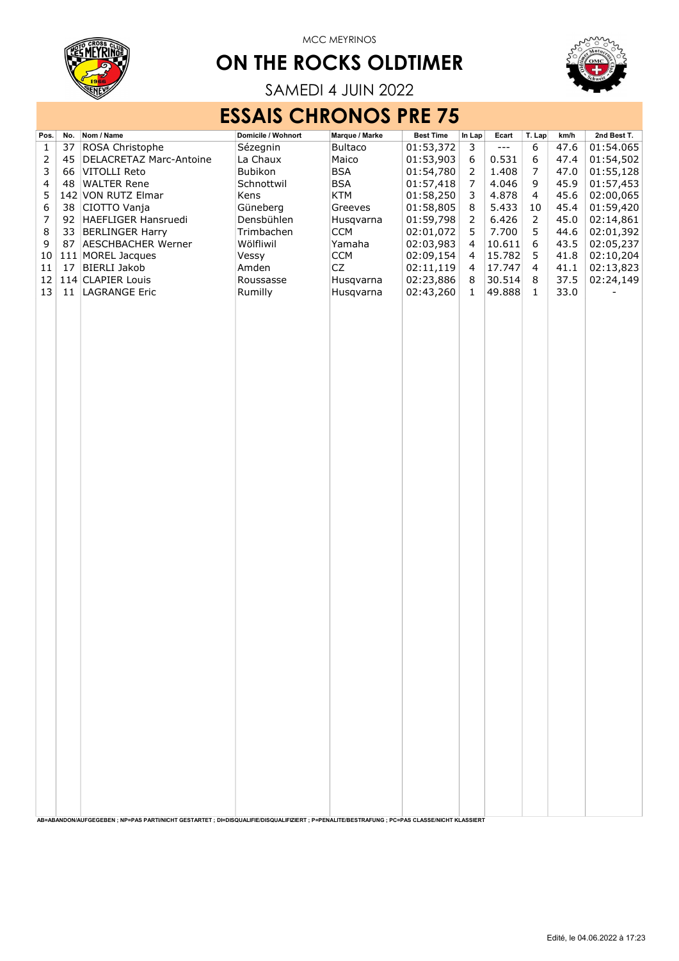

# ON THE ROCKS OLDTIMER



SAMEDI 4 JUIN 2022

### ESSAIS CHRONOS PRE 75

| Pos.                    | No. | Nom / Name                                                                                                                                | Domicile / Wohnort | Marque / Marke | <b>Best Time</b> | In Lap         | Ecart                | T. Lap         | km/h | 2nd Best T. |
|-------------------------|-----|-------------------------------------------------------------------------------------------------------------------------------------------|--------------------|----------------|------------------|----------------|----------------------|----------------|------|-------------|
| $\mathbf{1}$            | 37  | ROSA Christophe                                                                                                                           | Sézegnin           | <b>Bultaco</b> | 01:53,372        | 3              | $\sim$ $\sim$ $\sim$ | 6              | 47.6 | 01:54.065   |
| $\overline{2}$          | 45  | <b>DELACRETAZ Marc-Antoine</b>                                                                                                            | La Chaux           | Maico          | 01:53,903        | 6              | 0.531                | 6              | 47.4 | 01:54,502   |
| 3                       |     | 66 VITOLLI Reto                                                                                                                           | Bubikon            | <b>BSA</b>     | 01:54,780        | $\overline{2}$ | 1.408                | 7              | 47.0 | 01:55,128   |
| $\overline{\mathbf{4}}$ | 48  | <b>WALTER Rene</b>                                                                                                                        | Schnottwil         | BSA            | 01:57,418        | 7              | 4.046                | 9              | 45.9 | 01:57,453   |
| 5                       |     | 142 VON RUTZ Elmar                                                                                                                        | Kens               | <b>KTM</b>     | 01:58,250        | 3              | 4.878                | 4              | 45.6 | 02:00,065   |
| 6                       | 38  | CIOTTO Vanja                                                                                                                              | Güneberg           | Greeves        | 01:58,805        | 8              | 5.433                | $10\,$         | 45.4 | 01:59,420   |
| $\overline{7}$          | 92  | HAEFLIGER Hansruedi                                                                                                                       | Densbühlen         | Husqvarna      | 01:59,798        | 2              | 6.426                | $\overline{2}$ | 45.0 | 02:14,861   |
| $\,8\,$                 | 33  | <b>BERLINGER Harry</b>                                                                                                                    | Trimbachen         | <b>CCM</b>     | 02:01,072        | 5              | 7.700                | 5              | 44.6 | 02:01,392   |
| 9                       | 87  | <b>AESCHBACHER Werner</b>                                                                                                                 | Wölfliwil          | Yamaha         | 02:03,983        | 4              | 10.611               | 6              | 43.5 | 02:05,237   |
| 10                      |     | 111 MOREL Jacques                                                                                                                         | Vessy              | <b>CCM</b>     | 02:09,154        | 4              | 15.782               | 5              | 41.8 | 02:10,204   |
| 11                      | 17  | <b>BIERLI Jakob</b>                                                                                                                       | Amden              | CZ             | 02:11,119        | 4              | 17.747               | 4              | 41.1 | 02:13,823   |
| 12                      |     | 114 CLAPIER Louis                                                                                                                         | Roussasse          | Husqvarna      | 02:23,886        | 8              | 30.514               | 8              | 37.5 | 02:24,149   |
| 13                      | 11  | <b>LAGRANGE Eric</b>                                                                                                                      | Rumilly            | Husqvarna      | 02:43,260        | $\mathbf{1}$   | 49.888               | $\mathbf{1}$   | 33.0 |             |
|                         |     |                                                                                                                                           |                    |                |                  |                |                      |                |      |             |
|                         |     |                                                                                                                                           |                    |                |                  |                |                      |                |      |             |
|                         |     |                                                                                                                                           |                    |                |                  |                |                      |                |      |             |
|                         |     |                                                                                                                                           |                    |                |                  |                |                      |                |      |             |
|                         |     |                                                                                                                                           |                    |                |                  |                |                      |                |      |             |
|                         |     |                                                                                                                                           |                    |                |                  |                |                      |                |      |             |
|                         |     |                                                                                                                                           |                    |                |                  |                |                      |                |      |             |
|                         |     |                                                                                                                                           |                    |                |                  |                |                      |                |      |             |
|                         |     |                                                                                                                                           |                    |                |                  |                |                      |                |      |             |
|                         |     |                                                                                                                                           |                    |                |                  |                |                      |                |      |             |
|                         |     |                                                                                                                                           |                    |                |                  |                |                      |                |      |             |
|                         |     |                                                                                                                                           |                    |                |                  |                |                      |                |      |             |
|                         |     |                                                                                                                                           |                    |                |                  |                |                      |                |      |             |
|                         |     |                                                                                                                                           |                    |                |                  |                |                      |                |      |             |
|                         |     |                                                                                                                                           |                    |                |                  |                |                      |                |      |             |
|                         |     |                                                                                                                                           |                    |                |                  |                |                      |                |      |             |
|                         |     |                                                                                                                                           |                    |                |                  |                |                      |                |      |             |
|                         |     |                                                                                                                                           |                    |                |                  |                |                      |                |      |             |
|                         |     |                                                                                                                                           |                    |                |                  |                |                      |                |      |             |
|                         |     |                                                                                                                                           |                    |                |                  |                |                      |                |      |             |
|                         |     |                                                                                                                                           |                    |                |                  |                |                      |                |      |             |
|                         |     |                                                                                                                                           |                    |                |                  |                |                      |                |      |             |
|                         |     |                                                                                                                                           |                    |                |                  |                |                      |                |      |             |
|                         |     |                                                                                                                                           |                    |                |                  |                |                      |                |      |             |
|                         |     |                                                                                                                                           |                    |                |                  |                |                      |                |      |             |
|                         |     |                                                                                                                                           |                    |                |                  |                |                      |                |      |             |
|                         |     |                                                                                                                                           |                    |                |                  |                |                      |                |      |             |
|                         |     |                                                                                                                                           |                    |                |                  |                |                      |                |      |             |
|                         |     |                                                                                                                                           |                    |                |                  |                |                      |                |      |             |
|                         |     |                                                                                                                                           |                    |                |                  |                |                      |                |      |             |
|                         |     |                                                                                                                                           |                    |                |                  |                |                      |                |      |             |
|                         |     |                                                                                                                                           |                    |                |                  |                |                      |                |      |             |
|                         |     |                                                                                                                                           |                    |                |                  |                |                      |                |      |             |
|                         |     |                                                                                                                                           |                    |                |                  |                |                      |                |      |             |
|                         |     |                                                                                                                                           |                    |                |                  |                |                      |                |      |             |
|                         |     |                                                                                                                                           |                    |                |                  |                |                      |                |      |             |
|                         |     |                                                                                                                                           |                    |                |                  |                |                      |                |      |             |
|                         |     |                                                                                                                                           |                    |                |                  |                |                      |                |      |             |
|                         |     |                                                                                                                                           |                    |                |                  |                |                      |                |      |             |
|                         |     |                                                                                                                                           |                    |                |                  |                |                      |                |      |             |
|                         |     |                                                                                                                                           |                    |                |                  |                |                      |                |      |             |
|                         |     |                                                                                                                                           |                    |                |                  |                |                      |                |      |             |
|                         |     |                                                                                                                                           |                    |                |                  |                |                      |                |      |             |
|                         |     |                                                                                                                                           |                    |                |                  |                |                      |                |      |             |
|                         |     | AB=ABANDON/AUFGEGEBEN; NP=PAS PARTI/NICHT GESTARTET; DI=DISQUALIFIE/DISQUALIFIZIERT; P=PENALITE/BESTRAFUNG; PC=PAS CLASSE/NICHT KLASSIERT |                    |                |                  |                |                      |                |      |             |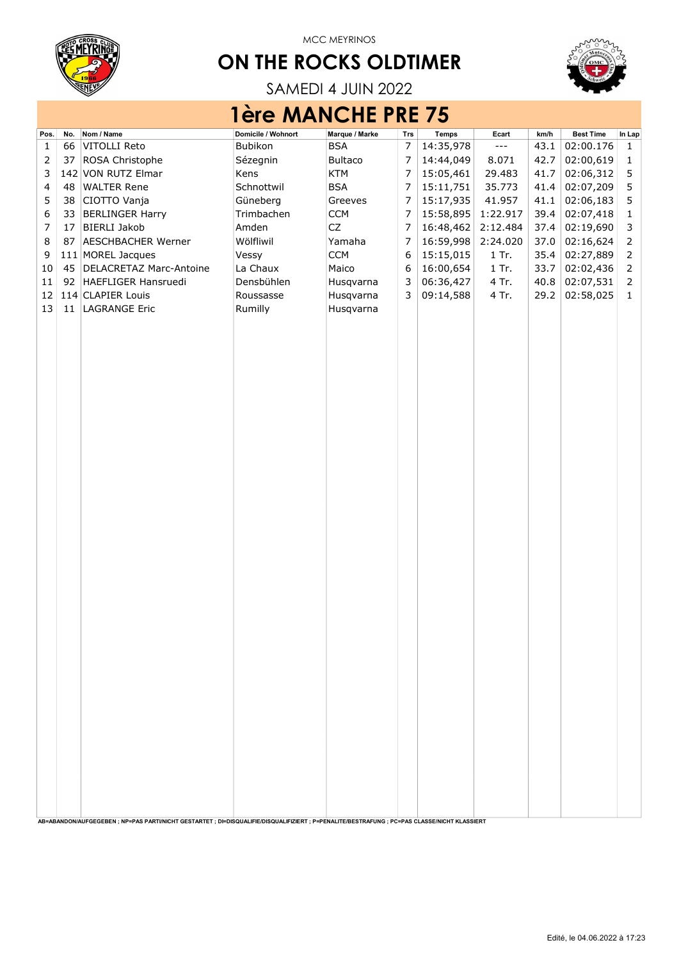

# ON THE ROCKS OLDTIMER



SAMEDI 4 JUIN 2022

|      | <b>1ère MANCHE PRE 75</b> |                                                                                                                                               |                    |                |                |           |                      |      |                  |                |  |  |  |  |  |
|------|---------------------------|-----------------------------------------------------------------------------------------------------------------------------------------------|--------------------|----------------|----------------|-----------|----------------------|------|------------------|----------------|--|--|--|--|--|
| Pos. | No.                       | Nom / Name                                                                                                                                    | Domicile / Wohnort | Marque / Marke | Trs            | Temps     | Ecart                | km/h | <b>Best Time</b> | In Lap         |  |  |  |  |  |
| 1    | 66                        | VITOLLI Reto                                                                                                                                  | Bubikon            | <b>BSA</b>     | 7              | 14:35,978 | $\sim$ $\sim$ $\sim$ | 43.1 | 02:00.176        | 1              |  |  |  |  |  |
| 2    | 37                        | ROSA Christophe                                                                                                                               | Sézegnin           | <b>Bultaco</b> | $\overline{7}$ | 14:44,049 | 8.071                | 42.7 | 02:00,619        | 1              |  |  |  |  |  |
| 3    |                           | 142 VON RUTZ Elmar                                                                                                                            | Kens               | <b>KTM</b>     | $\overline{7}$ | 15:05,461 | 29.483               | 41.7 | 02:06,312        | 5              |  |  |  |  |  |
| 4    | 48                        | <b>WALTER Rene</b>                                                                                                                            | Schnottwil         | <b>BSA</b>     | 7              | 15:11,751 | 35.773               | 41.4 | 02:07,209        | 5              |  |  |  |  |  |
| 5    | 38                        | CIOTTO Vanja                                                                                                                                  | Güneberg           | Greeves        | $\overline{7}$ | 15:17,935 | 41.957               | 41.1 | 02:06,183        | 5              |  |  |  |  |  |
| 6    | 33                        | <b>BERLINGER Harry</b>                                                                                                                        | Trimbachen         | <b>CCM</b>     | $\overline{7}$ | 15:58,895 | 1:22.917             | 39.4 | 02:07,418        | $\mathbf{1}$   |  |  |  |  |  |
| 7    | 17                        | <b>BIERLI Jakob</b>                                                                                                                           | Amden              | CZ             | $\overline{7}$ | 16:48,462 | 2:12.484             | 37.4 | 02:19,690        | 3              |  |  |  |  |  |
| 8    | 87                        | <b>AESCHBACHER Werner</b>                                                                                                                     | Wölfliwil          | Yamaha         | $\overline{7}$ | 16:59,998 | 2:24.020             | 37.0 | 02:16,624        | 2              |  |  |  |  |  |
| 9    |                           | 111 MOREL Jacques                                                                                                                             | Vessy              | <b>CCM</b>     | 6              | 15:15,015 | $1$ Tr.              | 35.4 | 02:27,889        | $\overline{2}$ |  |  |  |  |  |
| 10   | 45                        | <b>DELACRETAZ Marc-Antoine</b>                                                                                                                | La Chaux           | Maico          | 6              | 16:00,654 | $1$ Tr.              | 33.7 | 02:02,436        | $\overline{2}$ |  |  |  |  |  |
| 11   |                           | 92 HAEFLIGER Hansruedi                                                                                                                        | Densbühlen         | Husqvarna      | 3              | 06:36,427 | 4 Tr.                | 40.8 | 02:07,531        | 2              |  |  |  |  |  |
| 12   |                           | 114 CLAPIER Louis                                                                                                                             | Roussasse          | Husqvarna      | 3              | 09:14,588 | 4 Tr.                | 29.2 | 02:58,025        | $\mathbf{1}$   |  |  |  |  |  |
| 13   | 11                        | <b>LAGRANGE Eric</b>                                                                                                                          | Rumilly            | Husqvarna      |                |           |                      |      |                  |                |  |  |  |  |  |
|      |                           |                                                                                                                                               |                    |                |                |           |                      |      |                  |                |  |  |  |  |  |
|      |                           |                                                                                                                                               |                    |                |                |           |                      |      |                  |                |  |  |  |  |  |
|      |                           |                                                                                                                                               |                    |                |                |           |                      |      |                  |                |  |  |  |  |  |
|      |                           |                                                                                                                                               |                    |                |                |           |                      |      |                  |                |  |  |  |  |  |
|      |                           |                                                                                                                                               |                    |                |                |           |                      |      |                  |                |  |  |  |  |  |
|      |                           |                                                                                                                                               |                    |                |                |           |                      |      |                  |                |  |  |  |  |  |
|      |                           |                                                                                                                                               |                    |                |                |           |                      |      |                  |                |  |  |  |  |  |
|      |                           |                                                                                                                                               |                    |                |                |           |                      |      |                  |                |  |  |  |  |  |
|      |                           |                                                                                                                                               |                    |                |                |           |                      |      |                  |                |  |  |  |  |  |
|      |                           |                                                                                                                                               |                    |                |                |           |                      |      |                  |                |  |  |  |  |  |
|      |                           |                                                                                                                                               |                    |                |                |           |                      |      |                  |                |  |  |  |  |  |
|      |                           |                                                                                                                                               |                    |                |                |           |                      |      |                  |                |  |  |  |  |  |
|      |                           |                                                                                                                                               |                    |                |                |           |                      |      |                  |                |  |  |  |  |  |
|      |                           |                                                                                                                                               |                    |                |                |           |                      |      |                  |                |  |  |  |  |  |
|      |                           |                                                                                                                                               |                    |                |                |           |                      |      |                  |                |  |  |  |  |  |
|      |                           |                                                                                                                                               |                    |                |                |           |                      |      |                  |                |  |  |  |  |  |
|      |                           |                                                                                                                                               |                    |                |                |           |                      |      |                  |                |  |  |  |  |  |
|      |                           |                                                                                                                                               |                    |                |                |           |                      |      |                  |                |  |  |  |  |  |
|      |                           |                                                                                                                                               |                    |                |                |           |                      |      |                  |                |  |  |  |  |  |
|      |                           |                                                                                                                                               |                    |                |                |           |                      |      |                  |                |  |  |  |  |  |
|      |                           |                                                                                                                                               |                    |                |                |           |                      |      |                  |                |  |  |  |  |  |
|      |                           |                                                                                                                                               |                    |                |                |           |                      |      |                  |                |  |  |  |  |  |
|      |                           |                                                                                                                                               |                    |                |                |           |                      |      |                  |                |  |  |  |  |  |
|      |                           |                                                                                                                                               |                    |                |                |           |                      |      |                  |                |  |  |  |  |  |
|      |                           | AB=ABANDON/AUFGEGEBEN : NP=PAS PARTI/NICHT GESTARTET : DI=DISQUALIFIE/DISQUALIFIZIERT : P=PENALITE/BESTRAFUNG : PC=PAS CLASSE/NICHT KLASSIERT |                    |                |                |           |                      |      |                  |                |  |  |  |  |  |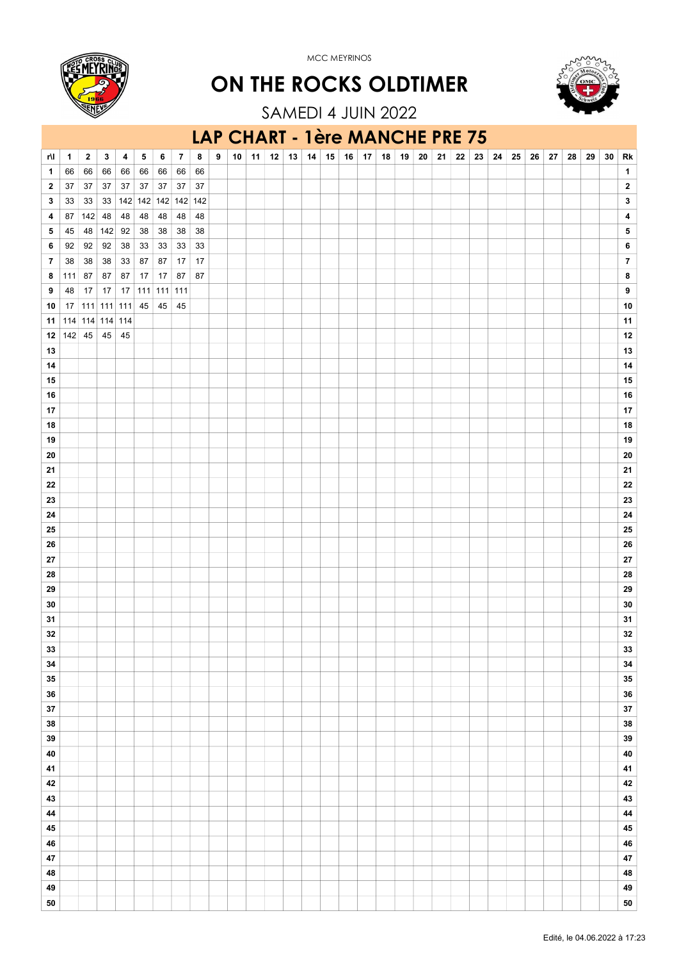





SAMEDI 4 JUIN 2022

#### LAP CHART - 1ère MANCHE PRE 75

| $\mathbf{1}$<br>1<br>66<br>66<br>66<br>66 66<br>66<br>66<br>66<br>37<br>37<br>$37\,$<br>$37\,$<br>$\mathbf{2}$<br>37<br>37<br>37<br>37<br>$\mathbf{2}$<br>33   142   142   142   142   142<br>3<br>3<br>33<br>33<br>87<br>142<br>48<br>48<br>$48$<br>48<br>48<br>48<br>4<br>4<br>48 142 92<br>38<br>$38\,$<br>5<br>45<br>38<br>38<br>5<br>92<br>$38\,$<br>$33\,$<br>6<br>6<br>92<br>92<br>33<br>33<br>33<br>$\overline{7}$<br>$\pmb{7}$<br>38<br>38<br>38<br>33 87<br>87<br>$17$<br>17<br>87<br>$87\,$<br>17<br>17<br>87<br>87<br>8<br>8<br>111<br>87<br>9<br>9<br>48<br>17<br>17<br>17<br>$ 111 $<br>$111$ 111<br>$111$ 111 111 45<br>45<br>45<br>$10$<br>10<br>17<br>11<br>114 114 114 114<br>11<br>142 45<br>45<br>$12\,$<br>12<br>45<br>$13\,$<br>13<br>14<br>14<br>15<br>${\bf 15}$<br>${\bf 16}$<br>16<br>$17\,$<br>17<br>${\bf 18}$<br>18<br>$19$<br>19<br>${\bf 20}$<br>20<br>${\bf 21}$<br>21<br>${\bf 22}$<br>${\bf 22}$<br>23<br>23<br>${\bf 24}$<br>24<br>${\bf 25}$<br>25<br>${\bf 26}$<br>26<br>${\bf 27}$<br>27<br>${\bf 28}$<br>28<br>${\bf 29}$<br>29<br>${\bf 30}$<br>30<br>31<br>31<br>${\bf 32}$<br>32<br>${\bf 33}$<br>33<br>${\bf 34}$<br>34<br>${\bf 35}$<br>35<br>${\bf 36}$<br>36<br>${\bf 37}$<br>37<br>${\bf 38}$<br>38<br>39<br>39<br>${\bf 40}$<br>40<br>$\bf 41$<br>41<br>$\bf 42$<br>42<br>43<br>43<br>44<br>44<br>$\bf 45$<br>45<br>46<br>46<br>$\bf 47$<br>47<br>48<br>48<br>49<br>49<br>${\bf 50}$<br>${\bf 50}$ |     |   |   |   |   |   |   |                |   |   |    |    |    |    |    |    |    |    |    |    |    |    |    |    |    |    |    |    |    |    |    |    |
|----------------------------------------------------------------------------------------------------------------------------------------------------------------------------------------------------------------------------------------------------------------------------------------------------------------------------------------------------------------------------------------------------------------------------------------------------------------------------------------------------------------------------------------------------------------------------------------------------------------------------------------------------------------------------------------------------------------------------------------------------------------------------------------------------------------------------------------------------------------------------------------------------------------------------------------------------------------------------------------------------------------------------------------------------------------------------------------------------------------------------------------------------------------------------------------------------------------------------------------------------------------------------------------------------------------------------------------------------------------------------------------------------------------------------------------------------|-----|---|---|---|---|---|---|----------------|---|---|----|----|----|----|----|----|----|----|----|----|----|----|----|----|----|----|----|----|----|----|----|----|
|                                                                                                                                                                                                                                                                                                                                                                                                                                                                                                                                                                                                                                                                                                                                                                                                                                                                                                                                                                                                                                                                                                                                                                                                                                                                                                                                                                                                                                                    | r۱l | 1 | 2 | 3 | 4 | 5 | 6 | $\overline{7}$ | 8 | 9 | 10 | 11 | 12 | 13 | 14 | 15 | 16 | 17 | 18 | 19 | 20 | 21 | 22 | 23 | 24 | 25 | 26 | 27 | 28 | 29 | 30 | Rk |
|                                                                                                                                                                                                                                                                                                                                                                                                                                                                                                                                                                                                                                                                                                                                                                                                                                                                                                                                                                                                                                                                                                                                                                                                                                                                                                                                                                                                                                                    |     |   |   |   |   |   |   |                |   |   |    |    |    |    |    |    |    |    |    |    |    |    |    |    |    |    |    |    |    |    |    |    |
|                                                                                                                                                                                                                                                                                                                                                                                                                                                                                                                                                                                                                                                                                                                                                                                                                                                                                                                                                                                                                                                                                                                                                                                                                                                                                                                                                                                                                                                    |     |   |   |   |   |   |   |                |   |   |    |    |    |    |    |    |    |    |    |    |    |    |    |    |    |    |    |    |    |    |    |    |
|                                                                                                                                                                                                                                                                                                                                                                                                                                                                                                                                                                                                                                                                                                                                                                                                                                                                                                                                                                                                                                                                                                                                                                                                                                                                                                                                                                                                                                                    |     |   |   |   |   |   |   |                |   |   |    |    |    |    |    |    |    |    |    |    |    |    |    |    |    |    |    |    |    |    |    |    |
|                                                                                                                                                                                                                                                                                                                                                                                                                                                                                                                                                                                                                                                                                                                                                                                                                                                                                                                                                                                                                                                                                                                                                                                                                                                                                                                                                                                                                                                    |     |   |   |   |   |   |   |                |   |   |    |    |    |    |    |    |    |    |    |    |    |    |    |    |    |    |    |    |    |    |    |    |
|                                                                                                                                                                                                                                                                                                                                                                                                                                                                                                                                                                                                                                                                                                                                                                                                                                                                                                                                                                                                                                                                                                                                                                                                                                                                                                                                                                                                                                                    |     |   |   |   |   |   |   |                |   |   |    |    |    |    |    |    |    |    |    |    |    |    |    |    |    |    |    |    |    |    |    |    |
|                                                                                                                                                                                                                                                                                                                                                                                                                                                                                                                                                                                                                                                                                                                                                                                                                                                                                                                                                                                                                                                                                                                                                                                                                                                                                                                                                                                                                                                    |     |   |   |   |   |   |   |                |   |   |    |    |    |    |    |    |    |    |    |    |    |    |    |    |    |    |    |    |    |    |    |    |
|                                                                                                                                                                                                                                                                                                                                                                                                                                                                                                                                                                                                                                                                                                                                                                                                                                                                                                                                                                                                                                                                                                                                                                                                                                                                                                                                                                                                                                                    |     |   |   |   |   |   |   |                |   |   |    |    |    |    |    |    |    |    |    |    |    |    |    |    |    |    |    |    |    |    |    |    |
|                                                                                                                                                                                                                                                                                                                                                                                                                                                                                                                                                                                                                                                                                                                                                                                                                                                                                                                                                                                                                                                                                                                                                                                                                                                                                                                                                                                                                                                    |     |   |   |   |   |   |   |                |   |   |    |    |    |    |    |    |    |    |    |    |    |    |    |    |    |    |    |    |    |    |    |    |
|                                                                                                                                                                                                                                                                                                                                                                                                                                                                                                                                                                                                                                                                                                                                                                                                                                                                                                                                                                                                                                                                                                                                                                                                                                                                                                                                                                                                                                                    |     |   |   |   |   |   |   |                |   |   |    |    |    |    |    |    |    |    |    |    |    |    |    |    |    |    |    |    |    |    |    |    |
|                                                                                                                                                                                                                                                                                                                                                                                                                                                                                                                                                                                                                                                                                                                                                                                                                                                                                                                                                                                                                                                                                                                                                                                                                                                                                                                                                                                                                                                    |     |   |   |   |   |   |   |                |   |   |    |    |    |    |    |    |    |    |    |    |    |    |    |    |    |    |    |    |    |    |    |    |
|                                                                                                                                                                                                                                                                                                                                                                                                                                                                                                                                                                                                                                                                                                                                                                                                                                                                                                                                                                                                                                                                                                                                                                                                                                                                                                                                                                                                                                                    |     |   |   |   |   |   |   |                |   |   |    |    |    |    |    |    |    |    |    |    |    |    |    |    |    |    |    |    |    |    |    |    |
|                                                                                                                                                                                                                                                                                                                                                                                                                                                                                                                                                                                                                                                                                                                                                                                                                                                                                                                                                                                                                                                                                                                                                                                                                                                                                                                                                                                                                                                    |     |   |   |   |   |   |   |                |   |   |    |    |    |    |    |    |    |    |    |    |    |    |    |    |    |    |    |    |    |    |    |    |
|                                                                                                                                                                                                                                                                                                                                                                                                                                                                                                                                                                                                                                                                                                                                                                                                                                                                                                                                                                                                                                                                                                                                                                                                                                                                                                                                                                                                                                                    |     |   |   |   |   |   |   |                |   |   |    |    |    |    |    |    |    |    |    |    |    |    |    |    |    |    |    |    |    |    |    |    |
|                                                                                                                                                                                                                                                                                                                                                                                                                                                                                                                                                                                                                                                                                                                                                                                                                                                                                                                                                                                                                                                                                                                                                                                                                                                                                                                                                                                                                                                    |     |   |   |   |   |   |   |                |   |   |    |    |    |    |    |    |    |    |    |    |    |    |    |    |    |    |    |    |    |    |    |    |
|                                                                                                                                                                                                                                                                                                                                                                                                                                                                                                                                                                                                                                                                                                                                                                                                                                                                                                                                                                                                                                                                                                                                                                                                                                                                                                                                                                                                                                                    |     |   |   |   |   |   |   |                |   |   |    |    |    |    |    |    |    |    |    |    |    |    |    |    |    |    |    |    |    |    |    |    |
|                                                                                                                                                                                                                                                                                                                                                                                                                                                                                                                                                                                                                                                                                                                                                                                                                                                                                                                                                                                                                                                                                                                                                                                                                                                                                                                                                                                                                                                    |     |   |   |   |   |   |   |                |   |   |    |    |    |    |    |    |    |    |    |    |    |    |    |    |    |    |    |    |    |    |    |    |
|                                                                                                                                                                                                                                                                                                                                                                                                                                                                                                                                                                                                                                                                                                                                                                                                                                                                                                                                                                                                                                                                                                                                                                                                                                                                                                                                                                                                                                                    |     |   |   |   |   |   |   |                |   |   |    |    |    |    |    |    |    |    |    |    |    |    |    |    |    |    |    |    |    |    |    |    |
|                                                                                                                                                                                                                                                                                                                                                                                                                                                                                                                                                                                                                                                                                                                                                                                                                                                                                                                                                                                                                                                                                                                                                                                                                                                                                                                                                                                                                                                    |     |   |   |   |   |   |   |                |   |   |    |    |    |    |    |    |    |    |    |    |    |    |    |    |    |    |    |    |    |    |    |    |
|                                                                                                                                                                                                                                                                                                                                                                                                                                                                                                                                                                                                                                                                                                                                                                                                                                                                                                                                                                                                                                                                                                                                                                                                                                                                                                                                                                                                                                                    |     |   |   |   |   |   |   |                |   |   |    |    |    |    |    |    |    |    |    |    |    |    |    |    |    |    |    |    |    |    |    |    |
|                                                                                                                                                                                                                                                                                                                                                                                                                                                                                                                                                                                                                                                                                                                                                                                                                                                                                                                                                                                                                                                                                                                                                                                                                                                                                                                                                                                                                                                    |     |   |   |   |   |   |   |                |   |   |    |    |    |    |    |    |    |    |    |    |    |    |    |    |    |    |    |    |    |    |    |    |
|                                                                                                                                                                                                                                                                                                                                                                                                                                                                                                                                                                                                                                                                                                                                                                                                                                                                                                                                                                                                                                                                                                                                                                                                                                                                                                                                                                                                                                                    |     |   |   |   |   |   |   |                |   |   |    |    |    |    |    |    |    |    |    |    |    |    |    |    |    |    |    |    |    |    |    |    |
|                                                                                                                                                                                                                                                                                                                                                                                                                                                                                                                                                                                                                                                                                                                                                                                                                                                                                                                                                                                                                                                                                                                                                                                                                                                                                                                                                                                                                                                    |     |   |   |   |   |   |   |                |   |   |    |    |    |    |    |    |    |    |    |    |    |    |    |    |    |    |    |    |    |    |    |    |
|                                                                                                                                                                                                                                                                                                                                                                                                                                                                                                                                                                                                                                                                                                                                                                                                                                                                                                                                                                                                                                                                                                                                                                                                                                                                                                                                                                                                                                                    |     |   |   |   |   |   |   |                |   |   |    |    |    |    |    |    |    |    |    |    |    |    |    |    |    |    |    |    |    |    |    |    |
|                                                                                                                                                                                                                                                                                                                                                                                                                                                                                                                                                                                                                                                                                                                                                                                                                                                                                                                                                                                                                                                                                                                                                                                                                                                                                                                                                                                                                                                    |     |   |   |   |   |   |   |                |   |   |    |    |    |    |    |    |    |    |    |    |    |    |    |    |    |    |    |    |    |    |    |    |
|                                                                                                                                                                                                                                                                                                                                                                                                                                                                                                                                                                                                                                                                                                                                                                                                                                                                                                                                                                                                                                                                                                                                                                                                                                                                                                                                                                                                                                                    |     |   |   |   |   |   |   |                |   |   |    |    |    |    |    |    |    |    |    |    |    |    |    |    |    |    |    |    |    |    |    |    |
|                                                                                                                                                                                                                                                                                                                                                                                                                                                                                                                                                                                                                                                                                                                                                                                                                                                                                                                                                                                                                                                                                                                                                                                                                                                                                                                                                                                                                                                    |     |   |   |   |   |   |   |                |   |   |    |    |    |    |    |    |    |    |    |    |    |    |    |    |    |    |    |    |    |    |    |    |
|                                                                                                                                                                                                                                                                                                                                                                                                                                                                                                                                                                                                                                                                                                                                                                                                                                                                                                                                                                                                                                                                                                                                                                                                                                                                                                                                                                                                                                                    |     |   |   |   |   |   |   |                |   |   |    |    |    |    |    |    |    |    |    |    |    |    |    |    |    |    |    |    |    |    |    |    |
|                                                                                                                                                                                                                                                                                                                                                                                                                                                                                                                                                                                                                                                                                                                                                                                                                                                                                                                                                                                                                                                                                                                                                                                                                                                                                                                                                                                                                                                    |     |   |   |   |   |   |   |                |   |   |    |    |    |    |    |    |    |    |    |    |    |    |    |    |    |    |    |    |    |    |    |    |
|                                                                                                                                                                                                                                                                                                                                                                                                                                                                                                                                                                                                                                                                                                                                                                                                                                                                                                                                                                                                                                                                                                                                                                                                                                                                                                                                                                                                                                                    |     |   |   |   |   |   |   |                |   |   |    |    |    |    |    |    |    |    |    |    |    |    |    |    |    |    |    |    |    |    |    |    |
|                                                                                                                                                                                                                                                                                                                                                                                                                                                                                                                                                                                                                                                                                                                                                                                                                                                                                                                                                                                                                                                                                                                                                                                                                                                                                                                                                                                                                                                    |     |   |   |   |   |   |   |                |   |   |    |    |    |    |    |    |    |    |    |    |    |    |    |    |    |    |    |    |    |    |    |    |
|                                                                                                                                                                                                                                                                                                                                                                                                                                                                                                                                                                                                                                                                                                                                                                                                                                                                                                                                                                                                                                                                                                                                                                                                                                                                                                                                                                                                                                                    |     |   |   |   |   |   |   |                |   |   |    |    |    |    |    |    |    |    |    |    |    |    |    |    |    |    |    |    |    |    |    |    |
|                                                                                                                                                                                                                                                                                                                                                                                                                                                                                                                                                                                                                                                                                                                                                                                                                                                                                                                                                                                                                                                                                                                                                                                                                                                                                                                                                                                                                                                    |     |   |   |   |   |   |   |                |   |   |    |    |    |    |    |    |    |    |    |    |    |    |    |    |    |    |    |    |    |    |    |    |
|                                                                                                                                                                                                                                                                                                                                                                                                                                                                                                                                                                                                                                                                                                                                                                                                                                                                                                                                                                                                                                                                                                                                                                                                                                                                                                                                                                                                                                                    |     |   |   |   |   |   |   |                |   |   |    |    |    |    |    |    |    |    |    |    |    |    |    |    |    |    |    |    |    |    |    |    |
|                                                                                                                                                                                                                                                                                                                                                                                                                                                                                                                                                                                                                                                                                                                                                                                                                                                                                                                                                                                                                                                                                                                                                                                                                                                                                                                                                                                                                                                    |     |   |   |   |   |   |   |                |   |   |    |    |    |    |    |    |    |    |    |    |    |    |    |    |    |    |    |    |    |    |    |    |
|                                                                                                                                                                                                                                                                                                                                                                                                                                                                                                                                                                                                                                                                                                                                                                                                                                                                                                                                                                                                                                                                                                                                                                                                                                                                                                                                                                                                                                                    |     |   |   |   |   |   |   |                |   |   |    |    |    |    |    |    |    |    |    |    |    |    |    |    |    |    |    |    |    |    |    |    |
|                                                                                                                                                                                                                                                                                                                                                                                                                                                                                                                                                                                                                                                                                                                                                                                                                                                                                                                                                                                                                                                                                                                                                                                                                                                                                                                                                                                                                                                    |     |   |   |   |   |   |   |                |   |   |    |    |    |    |    |    |    |    |    |    |    |    |    |    |    |    |    |    |    |    |    |    |
|                                                                                                                                                                                                                                                                                                                                                                                                                                                                                                                                                                                                                                                                                                                                                                                                                                                                                                                                                                                                                                                                                                                                                                                                                                                                                                                                                                                                                                                    |     |   |   |   |   |   |   |                |   |   |    |    |    |    |    |    |    |    |    |    |    |    |    |    |    |    |    |    |    |    |    |    |
|                                                                                                                                                                                                                                                                                                                                                                                                                                                                                                                                                                                                                                                                                                                                                                                                                                                                                                                                                                                                                                                                                                                                                                                                                                                                                                                                                                                                                                                    |     |   |   |   |   |   |   |                |   |   |    |    |    |    |    |    |    |    |    |    |    |    |    |    |    |    |    |    |    |    |    |    |
|                                                                                                                                                                                                                                                                                                                                                                                                                                                                                                                                                                                                                                                                                                                                                                                                                                                                                                                                                                                                                                                                                                                                                                                                                                                                                                                                                                                                                                                    |     |   |   |   |   |   |   |                |   |   |    |    |    |    |    |    |    |    |    |    |    |    |    |    |    |    |    |    |    |    |    |    |
|                                                                                                                                                                                                                                                                                                                                                                                                                                                                                                                                                                                                                                                                                                                                                                                                                                                                                                                                                                                                                                                                                                                                                                                                                                                                                                                                                                                                                                                    |     |   |   |   |   |   |   |                |   |   |    |    |    |    |    |    |    |    |    |    |    |    |    |    |    |    |    |    |    |    |    |    |
|                                                                                                                                                                                                                                                                                                                                                                                                                                                                                                                                                                                                                                                                                                                                                                                                                                                                                                                                                                                                                                                                                                                                                                                                                                                                                                                                                                                                                                                    |     |   |   |   |   |   |   |                |   |   |    |    |    |    |    |    |    |    |    |    |    |    |    |    |    |    |    |    |    |    |    |    |
|                                                                                                                                                                                                                                                                                                                                                                                                                                                                                                                                                                                                                                                                                                                                                                                                                                                                                                                                                                                                                                                                                                                                                                                                                                                                                                                                                                                                                                                    |     |   |   |   |   |   |   |                |   |   |    |    |    |    |    |    |    |    |    |    |    |    |    |    |    |    |    |    |    |    |    |    |
|                                                                                                                                                                                                                                                                                                                                                                                                                                                                                                                                                                                                                                                                                                                                                                                                                                                                                                                                                                                                                                                                                                                                                                                                                                                                                                                                                                                                                                                    |     |   |   |   |   |   |   |                |   |   |    |    |    |    |    |    |    |    |    |    |    |    |    |    |    |    |    |    |    |    |    |    |
|                                                                                                                                                                                                                                                                                                                                                                                                                                                                                                                                                                                                                                                                                                                                                                                                                                                                                                                                                                                                                                                                                                                                                                                                                                                                                                                                                                                                                                                    |     |   |   |   |   |   |   |                |   |   |    |    |    |    |    |    |    |    |    |    |    |    |    |    |    |    |    |    |    |    |    |    |
|                                                                                                                                                                                                                                                                                                                                                                                                                                                                                                                                                                                                                                                                                                                                                                                                                                                                                                                                                                                                                                                                                                                                                                                                                                                                                                                                                                                                                                                    |     |   |   |   |   |   |   |                |   |   |    |    |    |    |    |    |    |    |    |    |    |    |    |    |    |    |    |    |    |    |    |    |
|                                                                                                                                                                                                                                                                                                                                                                                                                                                                                                                                                                                                                                                                                                                                                                                                                                                                                                                                                                                                                                                                                                                                                                                                                                                                                                                                                                                                                                                    |     |   |   |   |   |   |   |                |   |   |    |    |    |    |    |    |    |    |    |    |    |    |    |    |    |    |    |    |    |    |    |    |
|                                                                                                                                                                                                                                                                                                                                                                                                                                                                                                                                                                                                                                                                                                                                                                                                                                                                                                                                                                                                                                                                                                                                                                                                                                                                                                                                                                                                                                                    |     |   |   |   |   |   |   |                |   |   |    |    |    |    |    |    |    |    |    |    |    |    |    |    |    |    |    |    |    |    |    |    |
|                                                                                                                                                                                                                                                                                                                                                                                                                                                                                                                                                                                                                                                                                                                                                                                                                                                                                                                                                                                                                                                                                                                                                                                                                                                                                                                                                                                                                                                    |     |   |   |   |   |   |   |                |   |   |    |    |    |    |    |    |    |    |    |    |    |    |    |    |    |    |    |    |    |    |    |    |
|                                                                                                                                                                                                                                                                                                                                                                                                                                                                                                                                                                                                                                                                                                                                                                                                                                                                                                                                                                                                                                                                                                                                                                                                                                                                                                                                                                                                                                                    |     |   |   |   |   |   |   |                |   |   |    |    |    |    |    |    |    |    |    |    |    |    |    |    |    |    |    |    |    |    |    |    |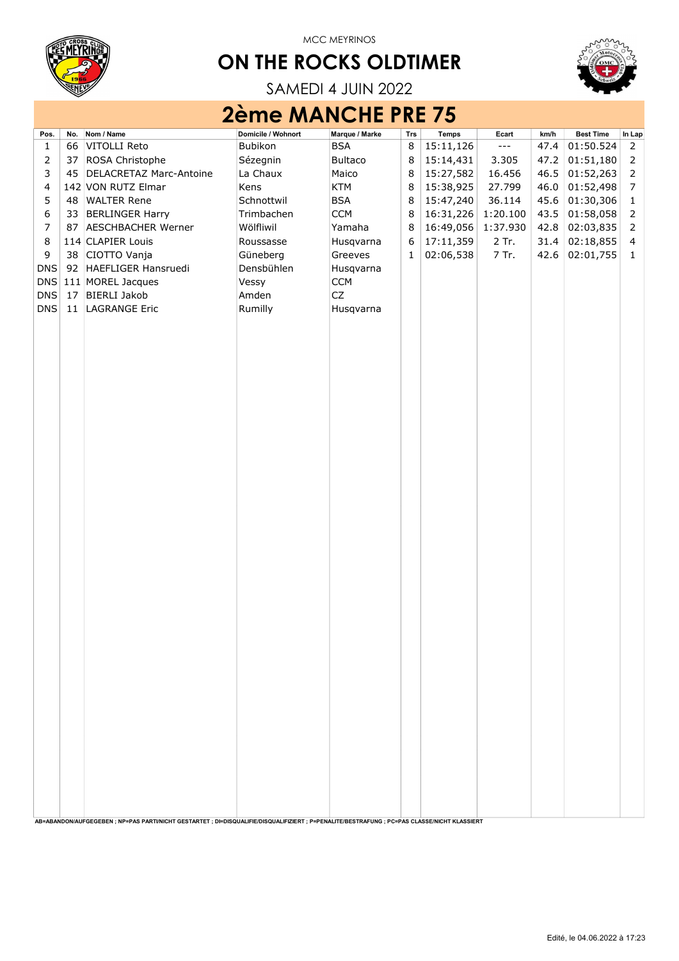

## ON THE ROCKS OLDTIMER



SAMEDI 4 JUIN 2022

## 2ème MANCHE PRE 75

| <b>BSA</b><br>15:11,126<br>47.4<br>01:50.524<br>66<br>VITOLLI Reto<br>Bubikon<br>8<br>$\frac{1}{2}$<br>$\overline{2}$<br>1<br>$\overline{2}$<br>15:14,431<br>37<br>ROSA Christophe<br>Sézegnin<br>8<br>3.305<br>01:51,180<br>$\mathsf{2}\,$<br><b>Bultaco</b><br>47.2<br>3<br>15:27,582<br>01:52,263<br>$\mathsf{2}\,$<br>DELACRETAZ Marc-Antoine<br>La Chaux<br>8<br>16.456<br>46.5<br>45<br>Maico<br>01:52,498<br>4<br>Kens<br>KTM<br>8<br>15:38,925<br>27.799<br>$\overline{7}$<br>142 VON RUTZ Elmar<br>46.0<br>5<br>15:47,240<br>01:30,306<br><b>WALTER Rene</b><br>Schnottwil<br><b>BSA</b><br>8<br>36.114<br>48<br>45.6<br>$\mathbf 1$<br>6<br><b>CCM</b><br>16:31,226<br>01:58,058<br>33 BERLINGER Harry<br>Trimbachen<br>8<br>1:20.100<br>43.5<br>$\overline{2}$<br>$\overline{7}$<br>Wölfliwil<br>Yamaha<br>8<br>16:49,056<br>1:37.930<br>02:03,835<br>$\overline{2}$<br>87<br><b>AESCHBACHER Werner</b><br>42.8<br>$\,8\,$<br>Roussasse<br>6<br>17:11,359<br>2 Tr.<br>02:18,855<br>114 CLAPIER Louis<br>31.4<br>$\overline{4}$<br>Husqvarna<br>9<br>Güneberg<br>02:06,538<br>CIOTTO Vanja<br>7 Tr.<br>02:01,755<br>38<br>Greeves<br>42.6<br>1<br>$\mathbf{1}$<br><b>DNS</b><br>92 HAEFLIGER Hansruedi<br>Densbühlen<br>Husqvarna<br>DNS<br>111 MOREL Jacques<br><b>CCM</b><br>Vessy<br>CZ<br><b>DNS</b><br>17<br><b>BIERLI Jakob</b><br>Amden<br><b>DNS</b><br><b>LAGRANGE Eric</b><br>Rumilly<br>11<br>Husqvarna | Pos. | No. | Nom / Name | Domicile / Wohnort | Marque / Marke | Trs | Temps | Ecart | km/h | <b>Best Time</b> | In Lap |
|------------------------------------------------------------------------------------------------------------------------------------------------------------------------------------------------------------------------------------------------------------------------------------------------------------------------------------------------------------------------------------------------------------------------------------------------------------------------------------------------------------------------------------------------------------------------------------------------------------------------------------------------------------------------------------------------------------------------------------------------------------------------------------------------------------------------------------------------------------------------------------------------------------------------------------------------------------------------------------------------------------------------------------------------------------------------------------------------------------------------------------------------------------------------------------------------------------------------------------------------------------------------------------------------------------------------------------------------------------------------------------------------------------------------------|------|-----|------------|--------------------|----------------|-----|-------|-------|------|------------------|--------|
|                                                                                                                                                                                                                                                                                                                                                                                                                                                                                                                                                                                                                                                                                                                                                                                                                                                                                                                                                                                                                                                                                                                                                                                                                                                                                                                                                                                                                              |      |     |            |                    |                |     |       |       |      |                  |        |
|                                                                                                                                                                                                                                                                                                                                                                                                                                                                                                                                                                                                                                                                                                                                                                                                                                                                                                                                                                                                                                                                                                                                                                                                                                                                                                                                                                                                                              |      |     |            |                    |                |     |       |       |      |                  |        |
|                                                                                                                                                                                                                                                                                                                                                                                                                                                                                                                                                                                                                                                                                                                                                                                                                                                                                                                                                                                                                                                                                                                                                                                                                                                                                                                                                                                                                              |      |     |            |                    |                |     |       |       |      |                  |        |
|                                                                                                                                                                                                                                                                                                                                                                                                                                                                                                                                                                                                                                                                                                                                                                                                                                                                                                                                                                                                                                                                                                                                                                                                                                                                                                                                                                                                                              |      |     |            |                    |                |     |       |       |      |                  |        |
|                                                                                                                                                                                                                                                                                                                                                                                                                                                                                                                                                                                                                                                                                                                                                                                                                                                                                                                                                                                                                                                                                                                                                                                                                                                                                                                                                                                                                              |      |     |            |                    |                |     |       |       |      |                  |        |
|                                                                                                                                                                                                                                                                                                                                                                                                                                                                                                                                                                                                                                                                                                                                                                                                                                                                                                                                                                                                                                                                                                                                                                                                                                                                                                                                                                                                                              |      |     |            |                    |                |     |       |       |      |                  |        |
|                                                                                                                                                                                                                                                                                                                                                                                                                                                                                                                                                                                                                                                                                                                                                                                                                                                                                                                                                                                                                                                                                                                                                                                                                                                                                                                                                                                                                              |      |     |            |                    |                |     |       |       |      |                  |        |
|                                                                                                                                                                                                                                                                                                                                                                                                                                                                                                                                                                                                                                                                                                                                                                                                                                                                                                                                                                                                                                                                                                                                                                                                                                                                                                                                                                                                                              |      |     |            |                    |                |     |       |       |      |                  |        |
|                                                                                                                                                                                                                                                                                                                                                                                                                                                                                                                                                                                                                                                                                                                                                                                                                                                                                                                                                                                                                                                                                                                                                                                                                                                                                                                                                                                                                              |      |     |            |                    |                |     |       |       |      |                  |        |
|                                                                                                                                                                                                                                                                                                                                                                                                                                                                                                                                                                                                                                                                                                                                                                                                                                                                                                                                                                                                                                                                                                                                                                                                                                                                                                                                                                                                                              |      |     |            |                    |                |     |       |       |      |                  |        |
|                                                                                                                                                                                                                                                                                                                                                                                                                                                                                                                                                                                                                                                                                                                                                                                                                                                                                                                                                                                                                                                                                                                                                                                                                                                                                                                                                                                                                              |      |     |            |                    |                |     |       |       |      |                  |        |
|                                                                                                                                                                                                                                                                                                                                                                                                                                                                                                                                                                                                                                                                                                                                                                                                                                                                                                                                                                                                                                                                                                                                                                                                                                                                                                                                                                                                                              |      |     |            |                    |                |     |       |       |      |                  |        |
|                                                                                                                                                                                                                                                                                                                                                                                                                                                                                                                                                                                                                                                                                                                                                                                                                                                                                                                                                                                                                                                                                                                                                                                                                                                                                                                                                                                                                              |      |     |            |                    |                |     |       |       |      |                  |        |
|                                                                                                                                                                                                                                                                                                                                                                                                                                                                                                                                                                                                                                                                                                                                                                                                                                                                                                                                                                                                                                                                                                                                                                                                                                                                                                                                                                                                                              |      |     |            |                    |                |     |       |       |      |                  |        |
|                                                                                                                                                                                                                                                                                                                                                                                                                                                                                                                                                                                                                                                                                                                                                                                                                                                                                                                                                                                                                                                                                                                                                                                                                                                                                                                                                                                                                              |      |     |            |                    |                |     |       |       |      |                  |        |
|                                                                                                                                                                                                                                                                                                                                                                                                                                                                                                                                                                                                                                                                                                                                                                                                                                                                                                                                                                                                                                                                                                                                                                                                                                                                                                                                                                                                                              |      |     |            |                    |                |     |       |       |      |                  |        |
|                                                                                                                                                                                                                                                                                                                                                                                                                                                                                                                                                                                                                                                                                                                                                                                                                                                                                                                                                                                                                                                                                                                                                                                                                                                                                                                                                                                                                              |      |     |            |                    |                |     |       |       |      |                  |        |
|                                                                                                                                                                                                                                                                                                                                                                                                                                                                                                                                                                                                                                                                                                                                                                                                                                                                                                                                                                                                                                                                                                                                                                                                                                                                                                                                                                                                                              |      |     |            |                    |                |     |       |       |      |                  |        |
|                                                                                                                                                                                                                                                                                                                                                                                                                                                                                                                                                                                                                                                                                                                                                                                                                                                                                                                                                                                                                                                                                                                                                                                                                                                                                                                                                                                                                              |      |     |            |                    |                |     |       |       |      |                  |        |
|                                                                                                                                                                                                                                                                                                                                                                                                                                                                                                                                                                                                                                                                                                                                                                                                                                                                                                                                                                                                                                                                                                                                                                                                                                                                                                                                                                                                                              |      |     |            |                    |                |     |       |       |      |                  |        |
|                                                                                                                                                                                                                                                                                                                                                                                                                                                                                                                                                                                                                                                                                                                                                                                                                                                                                                                                                                                                                                                                                                                                                                                                                                                                                                                                                                                                                              |      |     |            |                    |                |     |       |       |      |                  |        |
|                                                                                                                                                                                                                                                                                                                                                                                                                                                                                                                                                                                                                                                                                                                                                                                                                                                                                                                                                                                                                                                                                                                                                                                                                                                                                                                                                                                                                              |      |     |            |                    |                |     |       |       |      |                  |        |
|                                                                                                                                                                                                                                                                                                                                                                                                                                                                                                                                                                                                                                                                                                                                                                                                                                                                                                                                                                                                                                                                                                                                                                                                                                                                                                                                                                                                                              |      |     |            |                    |                |     |       |       |      |                  |        |
|                                                                                                                                                                                                                                                                                                                                                                                                                                                                                                                                                                                                                                                                                                                                                                                                                                                                                                                                                                                                                                                                                                                                                                                                                                                                                                                                                                                                                              |      |     |            |                    |                |     |       |       |      |                  |        |
|                                                                                                                                                                                                                                                                                                                                                                                                                                                                                                                                                                                                                                                                                                                                                                                                                                                                                                                                                                                                                                                                                                                                                                                                                                                                                                                                                                                                                              |      |     |            |                    |                |     |       |       |      |                  |        |
|                                                                                                                                                                                                                                                                                                                                                                                                                                                                                                                                                                                                                                                                                                                                                                                                                                                                                                                                                                                                                                                                                                                                                                                                                                                                                                                                                                                                                              |      |     |            |                    |                |     |       |       |      |                  |        |
|                                                                                                                                                                                                                                                                                                                                                                                                                                                                                                                                                                                                                                                                                                                                                                                                                                                                                                                                                                                                                                                                                                                                                                                                                                                                                                                                                                                                                              |      |     |            |                    |                |     |       |       |      |                  |        |
|                                                                                                                                                                                                                                                                                                                                                                                                                                                                                                                                                                                                                                                                                                                                                                                                                                                                                                                                                                                                                                                                                                                                                                                                                                                                                                                                                                                                                              |      |     |            |                    |                |     |       |       |      |                  |        |
|                                                                                                                                                                                                                                                                                                                                                                                                                                                                                                                                                                                                                                                                                                                                                                                                                                                                                                                                                                                                                                                                                                                                                                                                                                                                                                                                                                                                                              |      |     |            |                    |                |     |       |       |      |                  |        |
|                                                                                                                                                                                                                                                                                                                                                                                                                                                                                                                                                                                                                                                                                                                                                                                                                                                                                                                                                                                                                                                                                                                                                                                                                                                                                                                                                                                                                              |      |     |            |                    |                |     |       |       |      |                  |        |
|                                                                                                                                                                                                                                                                                                                                                                                                                                                                                                                                                                                                                                                                                                                                                                                                                                                                                                                                                                                                                                                                                                                                                                                                                                                                                                                                                                                                                              |      |     |            |                    |                |     |       |       |      |                  |        |
|                                                                                                                                                                                                                                                                                                                                                                                                                                                                                                                                                                                                                                                                                                                                                                                                                                                                                                                                                                                                                                                                                                                                                                                                                                                                                                                                                                                                                              |      |     |            |                    |                |     |       |       |      |                  |        |
|                                                                                                                                                                                                                                                                                                                                                                                                                                                                                                                                                                                                                                                                                                                                                                                                                                                                                                                                                                                                                                                                                                                                                                                                                                                                                                                                                                                                                              |      |     |            |                    |                |     |       |       |      |                  |        |
|                                                                                                                                                                                                                                                                                                                                                                                                                                                                                                                                                                                                                                                                                                                                                                                                                                                                                                                                                                                                                                                                                                                                                                                                                                                                                                                                                                                                                              |      |     |            |                    |                |     |       |       |      |                  |        |
|                                                                                                                                                                                                                                                                                                                                                                                                                                                                                                                                                                                                                                                                                                                                                                                                                                                                                                                                                                                                                                                                                                                                                                                                                                                                                                                                                                                                                              |      |     |            |                    |                |     |       |       |      |                  |        |
|                                                                                                                                                                                                                                                                                                                                                                                                                                                                                                                                                                                                                                                                                                                                                                                                                                                                                                                                                                                                                                                                                                                                                                                                                                                                                                                                                                                                                              |      |     |            |                    |                |     |       |       |      |                  |        |
|                                                                                                                                                                                                                                                                                                                                                                                                                                                                                                                                                                                                                                                                                                                                                                                                                                                                                                                                                                                                                                                                                                                                                                                                                                                                                                                                                                                                                              |      |     |            |                    |                |     |       |       |      |                  |        |
|                                                                                                                                                                                                                                                                                                                                                                                                                                                                                                                                                                                                                                                                                                                                                                                                                                                                                                                                                                                                                                                                                                                                                                                                                                                                                                                                                                                                                              |      |     |            |                    |                |     |       |       |      |                  |        |
|                                                                                                                                                                                                                                                                                                                                                                                                                                                                                                                                                                                                                                                                                                                                                                                                                                                                                                                                                                                                                                                                                                                                                                                                                                                                                                                                                                                                                              |      |     |            |                    |                |     |       |       |      |                  |        |
|                                                                                                                                                                                                                                                                                                                                                                                                                                                                                                                                                                                                                                                                                                                                                                                                                                                                                                                                                                                                                                                                                                                                                                                                                                                                                                                                                                                                                              |      |     |            |                    |                |     |       |       |      |                  |        |
|                                                                                                                                                                                                                                                                                                                                                                                                                                                                                                                                                                                                                                                                                                                                                                                                                                                                                                                                                                                                                                                                                                                                                                                                                                                                                                                                                                                                                              |      |     |            |                    |                |     |       |       |      |                  |        |
|                                                                                                                                                                                                                                                                                                                                                                                                                                                                                                                                                                                                                                                                                                                                                                                                                                                                                                                                                                                                                                                                                                                                                                                                                                                                                                                                                                                                                              |      |     |            |                    |                |     |       |       |      |                  |        |
|                                                                                                                                                                                                                                                                                                                                                                                                                                                                                                                                                                                                                                                                                                                                                                                                                                                                                                                                                                                                                                                                                                                                                                                                                                                                                                                                                                                                                              |      |     |            |                    |                |     |       |       |      |                  |        |
|                                                                                                                                                                                                                                                                                                                                                                                                                                                                                                                                                                                                                                                                                                                                                                                                                                                                                                                                                                                                                                                                                                                                                                                                                                                                                                                                                                                                                              |      |     |            |                    |                |     |       |       |      |                  |        |
|                                                                                                                                                                                                                                                                                                                                                                                                                                                                                                                                                                                                                                                                                                                                                                                                                                                                                                                                                                                                                                                                                                                                                                                                                                                                                                                                                                                                                              |      |     |            |                    |                |     |       |       |      |                  |        |
|                                                                                                                                                                                                                                                                                                                                                                                                                                                                                                                                                                                                                                                                                                                                                                                                                                                                                                                                                                                                                                                                                                                                                                                                                                                                                                                                                                                                                              |      |     |            |                    |                |     |       |       |      |                  |        |
|                                                                                                                                                                                                                                                                                                                                                                                                                                                                                                                                                                                                                                                                                                                                                                                                                                                                                                                                                                                                                                                                                                                                                                                                                                                                                                                                                                                                                              |      |     |            |                    |                |     |       |       |      |                  |        |
|                                                                                                                                                                                                                                                                                                                                                                                                                                                                                                                                                                                                                                                                                                                                                                                                                                                                                                                                                                                                                                                                                                                                                                                                                                                                                                                                                                                                                              |      |     |            |                    |                |     |       |       |      |                  |        |
|                                                                                                                                                                                                                                                                                                                                                                                                                                                                                                                                                                                                                                                                                                                                                                                                                                                                                                                                                                                                                                                                                                                                                                                                                                                                                                                                                                                                                              |      |     |            |                    |                |     |       |       |      |                  |        |
|                                                                                                                                                                                                                                                                                                                                                                                                                                                                                                                                                                                                                                                                                                                                                                                                                                                                                                                                                                                                                                                                                                                                                                                                                                                                                                                                                                                                                              |      |     |            |                    |                |     |       |       |      |                  |        |
|                                                                                                                                                                                                                                                                                                                                                                                                                                                                                                                                                                                                                                                                                                                                                                                                                                                                                                                                                                                                                                                                                                                                                                                                                                                                                                                                                                                                                              |      |     |            |                    |                |     |       |       |      |                  |        |
|                                                                                                                                                                                                                                                                                                                                                                                                                                                                                                                                                                                                                                                                                                                                                                                                                                                                                                                                                                                                                                                                                                                                                                                                                                                                                                                                                                                                                              |      |     |            |                    |                |     |       |       |      |                  |        |
|                                                                                                                                                                                                                                                                                                                                                                                                                                                                                                                                                                                                                                                                                                                                                                                                                                                                                                                                                                                                                                                                                                                                                                                                                                                                                                                                                                                                                              |      |     |            |                    |                |     |       |       |      |                  |        |
| AB=ABANDON/AUFGEGEBEN; NP=PAS PARTI/NICHT GESTARTET; DI=DISQUALIFIE/DISQUALIFIZIERT; P=PENALITE/BESTRAFUNG; PC=PAS CLASSE/NICHT KLASSIERT                                                                                                                                                                                                                                                                                                                                                                                                                                                                                                                                                                                                                                                                                                                                                                                                                                                                                                                                                                                                                                                                                                                                                                                                                                                                                    |      |     |            |                    |                |     |       |       |      |                  |        |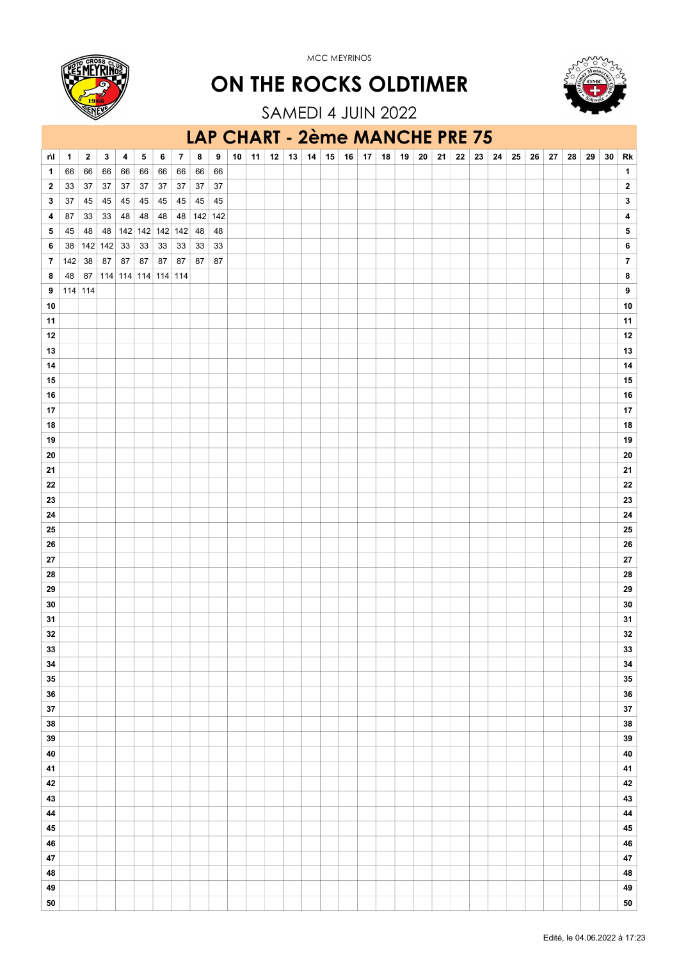



SAMEDI 4 JUIN 2022 ON THE ROCKS OLDTIMER

#### LAP CHART - 2ème MANCHE PRE 75

| r۱l          | 1       | 2       | 3  | 4                   | 5            | 6      | 7      | 8          | $\boldsymbol{9}$ | 10 | 11 | 12 | 13 | 14 | 15 | 16 | 17 | 18 | 19 | 20 | 21 | 22 | 23 | 24 | 25 | 26 | 27 | 28 | 29 | 30 | Rk                      |
|--------------|---------|---------|----|---------------------|--------------|--------|--------|------------|------------------|----|----|----|----|----|----|----|----|----|----|----|----|----|----|----|----|----|----|----|----|----|-------------------------|
| 1            | 66      | 66      | 66 | 66                  | 66           | 66     | 66     | 66         | 66               |    |    |    |    |    |    |    |    |    |    |    |    |    |    |    |    |    |    |    |    |    | $\mathbf{1}$            |
| $\mathbf{2}$ | 33      | 37      | 37 | 37                  | $37\,$       | $37\,$ | $37\,$ | $37\,$     | $37\,$           |    |    |    |    |    |    |    |    |    |    |    |    |    |    |    |    |    |    |    |    |    | $\mathbf{2}$            |
| 3            | $37\,$  | 45      | 45 | 45                  | $\boxed{45}$ | 45     | 45     | 45         | $\sqrt{45}$      |    |    |    |    |    |    |    |    |    |    |    |    |    |    |    |    |    |    |    |    |    | $\mathbf{3}$            |
| 4            | 87      | 33      | 33 | 48                  | 48           | 48     |        | 48 142 142 |                  |    |    |    |    |    |    |    |    |    |    |    |    |    |    |    |    |    |    |    |    |    | $\overline{\mathbf{4}}$ |
| 5            | 45      | 48      | 48 | 142 142 142 142 48  |              |        |        |            | 48               |    |    |    |    |    |    |    |    |    |    |    |    |    |    |    |    |    |    |    |    |    | ${\bf 5}$               |
| 6            | 38      | 142 142 |    | 33                  | $33\,$       | $33\,$ | $33\,$ | 33         | 33               |    |    |    |    |    |    |    |    |    |    |    |    |    |    |    |    |    |    |    |    |    | $\bf 6$                 |
| $\pmb{7}$    | 142     | 38      | 87 | 87                  | 87           | 87     | 87     | 87         | 87               |    |    |    |    |    |    |    |    |    |    |    |    |    |    |    |    |    |    |    |    |    | $\overline{7}$          |
|              | 48      | 87      |    | 114 114 114 114 114 |              |        |        |            |                  |    |    |    |    |    |    |    |    |    |    |    |    |    |    |    |    |    |    |    |    |    | $\bf8$                  |
| 8            |         |         |    |                     |              |        |        |            |                  |    |    |    |    |    |    |    |    |    |    |    |    |    |    |    |    |    |    |    |    |    |                         |
| 9            | 114 114 |         |    |                     |              |        |        |            |                  |    |    |    |    |    |    |    |    |    |    |    |    |    |    |    |    |    |    |    |    |    | $\pmb{9}$               |
| 10           |         |         |    |                     |              |        |        |            |                  |    |    |    |    |    |    |    |    |    |    |    |    |    |    |    |    |    |    |    |    |    | ${\bf 10}$              |
| 11           |         |         |    |                     |              |        |        |            |                  |    |    |    |    |    |    |    |    |    |    |    |    |    |    |    |    |    |    |    |    |    | $11$                    |
| 12           |         |         |    |                     |              |        |        |            |                  |    |    |    |    |    |    |    |    |    |    |    |    |    |    |    |    |    |    |    |    |    | $12\,$                  |
| 13           |         |         |    |                     |              |        |        |            |                  |    |    |    |    |    |    |    |    |    |    |    |    |    |    |    |    |    |    |    |    |    | $13\,$                  |
| 14           |         |         |    |                     |              |        |        |            |                  |    |    |    |    |    |    |    |    |    |    |    |    |    |    |    |    |    |    |    |    |    | 14                      |
| 15           |         |         |    |                     |              |        |        |            |                  |    |    |    |    |    |    |    |    |    |    |    |    |    |    |    |    |    |    |    |    |    | ${\bf 15}$              |
| ${\bf 16}$   |         |         |    |                     |              |        |        |            |                  |    |    |    |    |    |    |    |    |    |    |    |    |    |    |    |    |    |    |    |    |    | ${\bf 16}$              |
| 17           |         |         |    |                     |              |        |        |            |                  |    |    |    |    |    |    |    |    |    |    |    |    |    |    |    |    |    |    |    |    |    | $17\,$                  |
| ${\bf 18}$   |         |         |    |                     |              |        |        |            |                  |    |    |    |    |    |    |    |    |    |    |    |    |    |    |    |    |    |    |    |    |    | ${\bf 18}$              |
| 19           |         |         |    |                     |              |        |        |            |                  |    |    |    |    |    |    |    |    |    |    |    |    |    |    |    |    |    |    |    |    |    | 19                      |
| 20           |         |         |    |                     |              |        |        |            |                  |    |    |    |    |    |    |    |    |    |    |    |    |    |    |    |    |    |    |    |    |    | ${\bf 20}$              |
| 21           |         |         |    |                     |              |        |        |            |                  |    |    |    |    |    |    |    |    |    |    |    |    |    |    |    |    |    |    |    |    |    | 21                      |
| ${\bf 22}$   |         |         |    |                     |              |        |        |            |                  |    |    |    |    |    |    |    |    |    |    |    |    |    |    |    |    |    |    |    |    |    | ${\bf 22}$              |
| 23           |         |         |    |                     |              |        |        |            |                  |    |    |    |    |    |    |    |    |    |    |    |    |    |    |    |    |    |    |    |    |    | ${\bf 23}$              |
|              |         |         |    |                     |              |        |        |            |                  |    |    |    |    |    |    |    |    |    |    |    |    |    |    |    |    |    |    |    |    |    |                         |
| 24           |         |         |    |                     |              |        |        |            |                  |    |    |    |    |    |    |    |    |    |    |    |    |    |    |    |    |    |    |    |    |    | ${\bf 24}$              |
| 25           |         |         |    |                     |              |        |        |            |                  |    |    |    |    |    |    |    |    |    |    |    |    |    |    |    |    |    |    |    |    |    | ${\bf 25}$              |
| ${\bf 26}$   |         |         |    |                     |              |        |        |            |                  |    |    |    |    |    |    |    |    |    |    |    |    |    |    |    |    |    |    |    |    |    | ${\bf 26}$              |
| 27           |         |         |    |                     |              |        |        |            |                  |    |    |    |    |    |    |    |    |    |    |    |    |    |    |    |    |    |    |    |    |    | ${\bf 27}$              |
| 28           |         |         |    |                     |              |        |        |            |                  |    |    |    |    |    |    |    |    |    |    |    |    |    |    |    |    |    |    |    |    |    | ${\bf 28}$              |
| 29           |         |         |    |                     |              |        |        |            |                  |    |    |    |    |    |    |    |    |    |    |    |    |    |    |    |    |    |    |    |    |    | ${\bf 29}$              |
| ${\bf 30}$   |         |         |    |                     |              |        |        |            |                  |    |    |    |    |    |    |    |    |    |    |    |    |    |    |    |    |    |    |    |    |    | $30\,$                  |
| 31           |         |         |    |                     |              |        |        |            |                  |    |    |    |    |    |    |    |    |    |    |    |    |    |    |    |    |    |    |    |    |    | 31                      |
| ${\bf 32}$   |         |         |    |                     |              |        |        |            |                  |    |    |    |    |    |    |    |    |    |    |    |    |    |    |    |    |    |    |    |    |    | ${\bf 32}$              |
| 33           |         |         |    |                     |              |        |        |            |                  |    |    |    |    |    |    |    |    |    |    |    |    |    |    |    |    |    |    |    |    |    | 33                      |
| 34           |         |         |    |                     |              |        |        |            |                  |    |    |    |    |    |    |    |    |    |    |    |    |    |    |    |    |    |    |    |    |    | 34                      |
| $35\,$       |         |         |    |                     |              |        |        |            |                  |    |    |    |    |    |    |    |    |    |    |    |    |    |    |    |    |    |    |    |    |    | ${\bf 35}$              |
| 36           |         |         |    |                     |              |        |        |            |                  |    |    |    |    |    |    |    |    |    |    |    |    |    |    |    |    |    |    |    |    |    | ${\bf 36}$              |
| ${\bf 37}$   |         |         |    |                     |              |        |        |            |                  |    |    |    |    |    |    |    |    |    |    |    |    |    |    |    |    |    |    |    |    |    | 37                      |
| 38           |         |         |    |                     |              |        |        |            |                  |    |    |    |    |    |    |    |    |    |    |    |    |    |    |    |    |    |    |    |    |    | 38                      |
| 39           |         |         |    |                     |              |        |        |            |                  |    |    |    |    |    |    |    |    |    |    |    |    |    |    |    |    |    |    |    |    |    | $39\,$                  |
| 40           |         |         |    |                     |              |        |        |            |                  |    |    |    |    |    |    |    |    |    |    |    |    |    |    |    |    |    |    |    |    |    | ${\bf 40}$              |
|              |         |         |    |                     |              |        |        |            |                  |    |    |    |    |    |    |    |    |    |    |    |    |    |    |    |    |    |    |    |    |    |                         |
| 41           |         |         |    |                     |              |        |        |            |                  |    |    |    |    |    |    |    |    |    |    |    |    |    |    |    |    |    |    |    |    |    | $\bf 41$                |
| 42           |         |         |    |                     |              |        |        |            |                  |    |    |    |    |    |    |    |    |    |    |    |    |    |    |    |    |    |    |    |    |    | $\bf 42$                |
| 43           |         |         |    |                     |              |        |        |            |                  |    |    |    |    |    |    |    |    |    |    |    |    |    |    |    |    |    |    |    |    |    | $\bf 43$                |
| 44           |         |         |    |                     |              |        |        |            |                  |    |    |    |    |    |    |    |    |    |    |    |    |    |    |    |    |    |    |    |    |    | 44                      |
| $\bf 45$     |         |         |    |                     |              |        |        |            |                  |    |    |    |    |    |    |    |    |    |    |    |    |    |    |    |    |    |    |    |    |    | $\bf 45$                |
| 46           |         |         |    |                     |              |        |        |            |                  |    |    |    |    |    |    |    |    |    |    |    |    |    |    |    |    |    |    |    |    |    | ${\bf 46}$              |
| 47           |         |         |    |                     |              |        |        |            |                  |    |    |    |    |    |    |    |    |    |    |    |    |    |    |    |    |    |    |    |    |    | $\bf 47$                |
| 48           |         |         |    |                     |              |        |        |            |                  |    |    |    |    |    |    |    |    |    |    |    |    |    |    |    |    |    |    |    |    |    | 48                      |
| 49           |         |         |    |                     |              |        |        |            |                  |    |    |    |    |    |    |    |    |    |    |    |    |    |    |    |    |    |    |    |    |    | 49                      |
| ${\bf 50}$   |         |         |    |                     |              |        |        |            |                  |    |    |    |    |    |    |    |    |    |    |    |    |    |    |    |    |    |    |    |    |    | 50                      |
|              |         |         |    |                     |              |        |        |            |                  |    |    |    |    |    |    |    |    |    |    |    |    |    |    |    |    |    |    |    |    |    |                         |